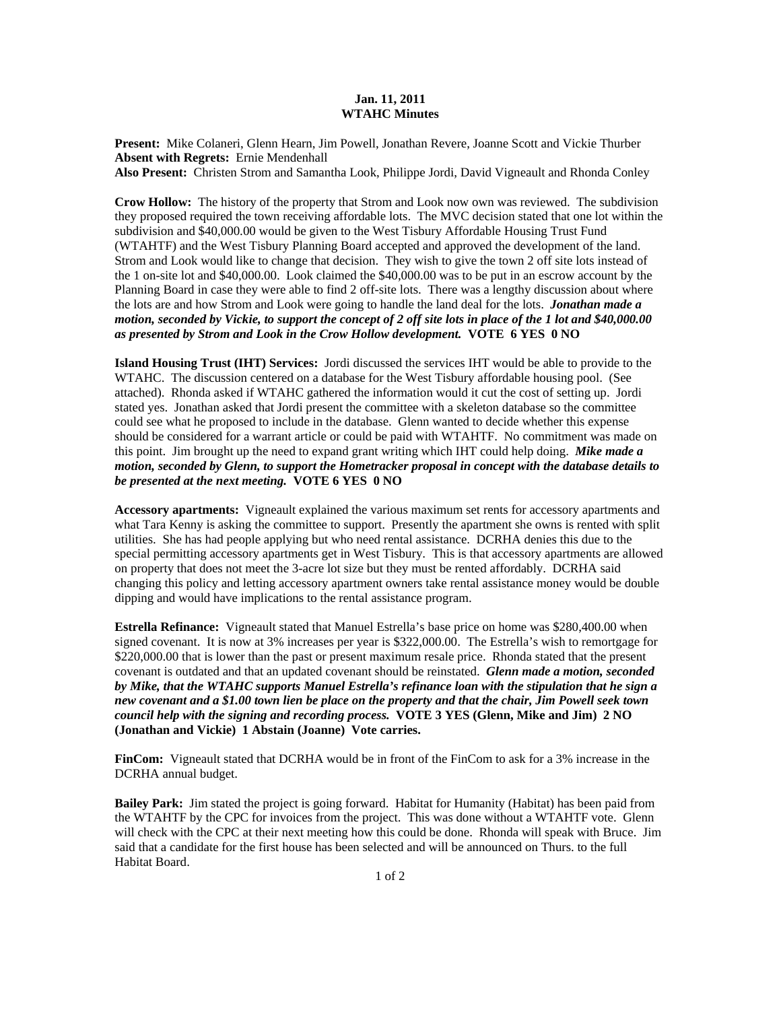## **Jan. 11, 2011 WTAHC Minutes**

**Present:** Mike Colaneri, Glenn Hearn, Jim Powell, Jonathan Revere, Joanne Scott and Vickie Thurber **Absent with Regrets:** Ernie Mendenhall

**Also Present:** Christen Strom and Samantha Look, Philippe Jordi, David Vigneault and Rhonda Conley

**Crow Hollow:** The history of the property that Strom and Look now own was reviewed. The subdivision they proposed required the town receiving affordable lots. The MVC decision stated that one lot within the subdivision and \$40,000.00 would be given to the West Tisbury Affordable Housing Trust Fund (WTAHTF) and the West Tisbury Planning Board accepted and approved the development of the land. Strom and Look would like to change that decision. They wish to give the town 2 off site lots instead of the 1 on-site lot and \$40,000.00. Look claimed the \$40,000.00 was to be put in an escrow account by the Planning Board in case they were able to find 2 off-site lots. There was a lengthy discussion about where the lots are and how Strom and Look were going to handle the land deal for the lots. *Jonathan made a motion, seconded by Vickie, to support the concept of 2 off site lots in place of the 1 lot and \$40,000.00 as presented by Strom and Look in the Crow Hollow development.* **VOTE 6 YES 0 NO** 

**Island Housing Trust (IHT) Services:** Jordi discussed the services IHT would be able to provide to the WTAHC. The discussion centered on a database for the West Tisbury affordable housing pool. (See attached). Rhonda asked if WTAHC gathered the information would it cut the cost of setting up. Jordi stated yes. Jonathan asked that Jordi present the committee with a skeleton database so the committee could see what he proposed to include in the database. Glenn wanted to decide whether this expense should be considered for a warrant article or could be paid with WTAHTF. No commitment was made on this point. Jim brought up the need to expand grant writing which IHT could help doing. *Mike made a motion, seconded by Glenn, to support the Hometracker proposal in concept with the database details to be presented at the next meeting.* **VOTE 6 YES 0 NO** 

**Accessory apartments:** Vigneault explained the various maximum set rents for accessory apartments and what Tara Kenny is asking the committee to support. Presently the apartment she owns is rented with split utilities. She has had people applying but who need rental assistance. DCRHA denies this due to the special permitting accessory apartments get in West Tisbury. This is that accessory apartments are allowed on property that does not meet the 3-acre lot size but they must be rented affordably. DCRHA said changing this policy and letting accessory apartment owners take rental assistance money would be double dipping and would have implications to the rental assistance program.

**Estrella Refinance:** Vigneault stated that Manuel Estrella's base price on home was \$280,400.00 when signed covenant. It is now at 3% increases per year is \$322,000.00. The Estrella's wish to remortgage for \$220,000.00 that is lower than the past or present maximum resale price. Rhonda stated that the present covenant is outdated and that an updated covenant should be reinstated. *Glenn made a motion, seconded by Mike, that the WTAHC supports Manuel Estrella's refinance loan with the stipulation that he sign a new covenant and a \$1.00 town lien be place on the property and that the chair, Jim Powell seek town council help with the signing and recording process.* **VOTE 3 YES (Glenn, Mike and Jim) 2 NO (Jonathan and Vickie) 1 Abstain (Joanne) Vote carries.** 

**FinCom:** Vigneault stated that DCRHA would be in front of the FinCom to ask for a 3% increase in the DCRHA annual budget.

**Bailey Park:** Jim stated the project is going forward. Habitat for Humanity (Habitat) has been paid from the WTAHTF by the CPC for invoices from the project. This was done without a WTAHTF vote. Glenn will check with the CPC at their next meeting how this could be done. Rhonda will speak with Bruce. Jim said that a candidate for the first house has been selected and will be announced on Thurs. to the full Habitat Board.